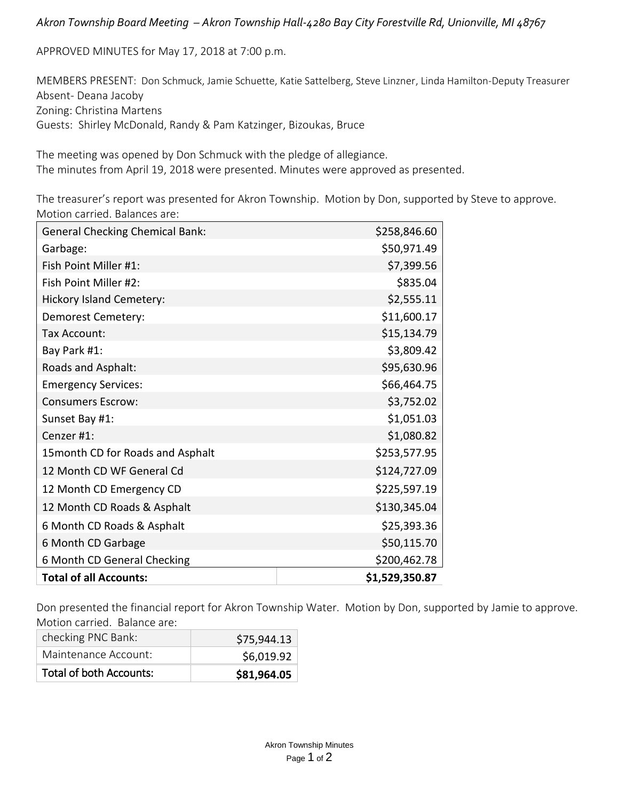## *Akron Township Board Meeting – Akron Township Hall-4280 Bay City Forestville Rd, Unionville, MI 48767*

APPROVED MINUTES for May 17, 2018 at 7:00 p.m.

MEMBERS PRESENT: Don Schmuck, Jamie Schuette, Katie Sattelberg, Steve Linzner, Linda Hamilton-Deputy Treasurer Absent- Deana Jacoby Zoning: Christina Martens Guests: Shirley McDonald, Randy & Pam Katzinger, Bizoukas, Bruce

The meeting was opened by Don Schmuck with the pledge of allegiance. The minutes from April 19, 2018 were presented. Minutes were approved as presented.

The treasurer's report was presented for Akron Township. Motion by Don, supported by Steve to approve. Motion carried. Balances are:

| <b>General Checking Chemical Bank:</b> | \$258,846.60   |
|----------------------------------------|----------------|
| Garbage:                               | \$50,971.49    |
| Fish Point Miller #1:                  | \$7,399.56     |
| Fish Point Miller #2:                  | \$835.04       |
| <b>Hickory Island Cemetery:</b>        | \$2,555.11     |
| Demorest Cemetery:                     | \$11,600.17    |
| Tax Account:                           | \$15,134.79    |
| Bay Park #1:                           | \$3,809.42     |
| Roads and Asphalt:                     | \$95,630.96    |
| <b>Emergency Services:</b>             | \$66,464.75    |
| <b>Consumers Escrow:</b>               | \$3,752.02     |
| Sunset Bay #1:                         | \$1,051.03     |
| Cenzer #1:                             | \$1,080.82     |
| 15 month CD for Roads and Asphalt      | \$253,577.95   |
| 12 Month CD WF General Cd              | \$124,727.09   |
| 12 Month CD Emergency CD               | \$225,597.19   |
| 12 Month CD Roads & Asphalt            | \$130,345.04   |
| 6 Month CD Roads & Asphalt             | \$25,393.36    |
| 6 Month CD Garbage                     | \$50,115.70    |
| 6 Month CD General Checking            | \$200,462.78   |
| <b>Total of all Accounts:</b>          | \$1,529,350.87 |

Don presented the financial report for Akron Township Water. Motion by Don, supported by Jamie to approve. Motion carried. Balance are:

| checking PNC Bank:<br>Maintenance Account: | \$75,944.13               |
|--------------------------------------------|---------------------------|
| Total of both Accounts:                    | \$6,019.92<br>\$81,964.05 |